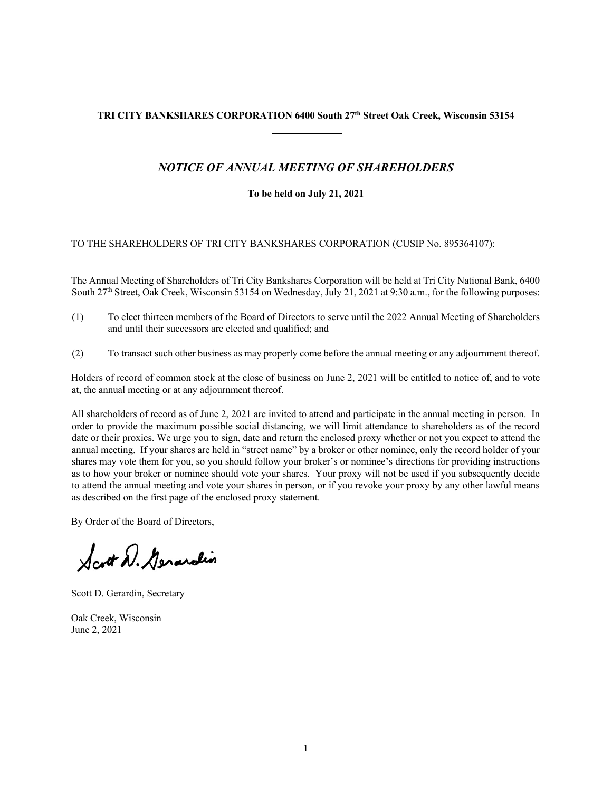# **TRI CITY BANKSHARES CORPORATION 6400 South 27th Street Oak Creek, Wisconsin 53154**

# *NOTICE OF ANNUAL MEETING OF SHAREHOLDERS*

### **To be held on July 21, 2021**

### TO THE SHAREHOLDERS OF TRI CITY BANKSHARES CORPORATION (CUSIP No. 895364107):

The Annual Meeting of Shareholders of Tri City Bankshares Corporation will be held at Tri City National Bank, 6400 South 27<sup>th</sup> Street, Oak Creek, Wisconsin 53154 on Wednesday, July 21, 2021 at 9:30 a.m., for the following purposes:

- (1) To elect thirteen members of the Board of Directors to serve until the 2022 Annual Meeting of Shareholders and until their successors are elected and qualified; and
- (2) To transact such other business as may properly come before the annual meeting or any adjournment thereof.

Holders of record of common stock at the close of business on June 2, 2021 will be entitled to notice of, and to vote at, the annual meeting or at any adjournment thereof.

All shareholders of record as of June 2, 2021 are invited to attend and participate in the annual meeting in person. In order to provide the maximum possible social distancing, we will limit attendance to shareholders as of the record date or their proxies. We urge you to sign, date and return the enclosed proxy whether or not you expect to attend the annual meeting. If your shares are held in "street name" by a broker or other nominee, only the record holder of your shares may vote them for you, so you should follow your broker's or nominee's directions for providing instructions as to how your broker or nominee should vote your shares. Your proxy will not be used if you subsequently decide to attend the annual meeting and vote your shares in person, or if you revoke your proxy by any other lawful means as described on the first page of the enclosed proxy statement.

By Order of the Board of Directors,

Scott D. Generalin

Scott D. Gerardin, Secretary

Oak Creek, Wisconsin June 2, 2021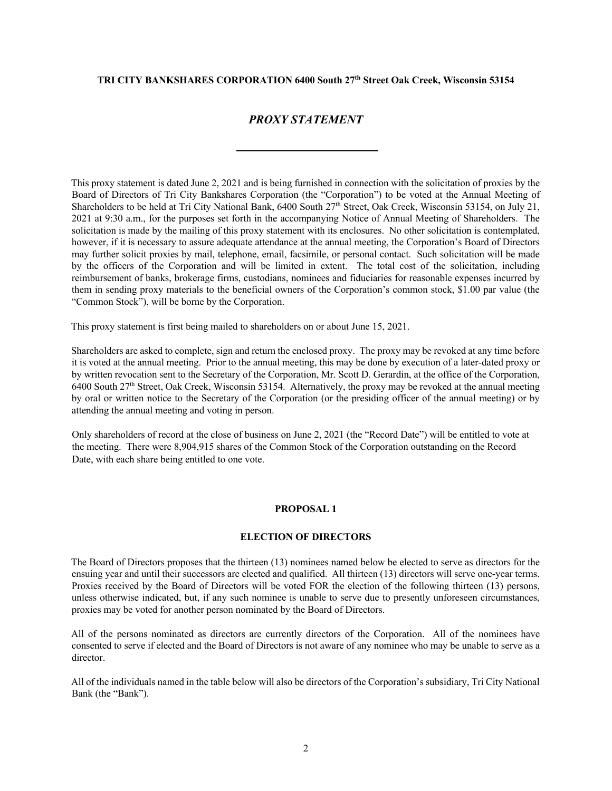### **TRI CITY BANKSHARES CORPORATION 6400 South 27th Street Oak Creek, Wisconsin 53154**

### *PROXY STATEMENT*

This proxy statement is dated June 2, 2021 and is being furnished in connection with the solicitation of proxies by the Board of Directors of Tri City Bankshares Corporation (the "Corporation") to be voted at the Annual Meeting of Shareholders to be held at Tri City National Bank, 6400 South 27<sup>th</sup> Street, Oak Creek, Wisconsin 53154, on July 21, 2021 at 9:30 a.m., for the purposes set forth in the accompanying Notice of Annual Meeting of Shareholders. The solicitation is made by the mailing of this proxy statement with its enclosures. No other solicitation is contemplated, however, if it is necessary to assure adequate attendance at the annual meeting, the Corporation's Board of Directors may further solicit proxies by mail, telephone, email, facsimile, or personal contact. Such solicitation will be made by the officers of the Corporation and will be limited in extent. The total cost of the solicitation, including reimbursement of banks, brokerage firms, custodians, nominees and fiduciaries for reasonable expenses incurred by them in sending proxy materials to the beneficial owners of the Corporation's common stock, \$1.00 par value (the "Common Stock"), will be borne by the Corporation.

This proxy statement is first being mailed to shareholders on or about June 15, 2021.

Shareholders are asked to complete, sign and return the enclosed proxy. The proxy may be revoked at any time before it is voted at the annual meeting. Prior to the annual meeting, this may be done by execution of a later-dated proxy or by written revocation sent to the Secretary of the Corporation, Mr. Scott D. Gerardin, at the office of the Corporation,  $6400$  South 27<sup>th</sup> Street, Oak Creek, Wisconsin 53154. Alternatively, the proxy may be revoked at the annual meeting by oral or written notice to the Secretary of the Corporation (or the presiding officer of the annual meeting) or by attending the annual meeting and voting in person.

Only shareholders of record at the close of business on June 2, 2021 (the "Record Date") will be entitled to vote at the meeting. There were 8,904,915 shares of the Common Stock of the Corporation outstanding on the Record Date, with each share being entitled to one vote.

#### **PROPOSAL 1**

#### **ELECTION OF DIRECTORS**

The Board of Directors proposes that the thirteen (13) nominees named below be elected to serve as directors for the ensuing year and until their successors are elected and qualified. All thirteen (13) directors will serve one-year terms. Proxies received by the Board of Directors will be voted FOR the election of the following thirteen (13) persons, unless otherwise indicated, but, if any such nominee is unable to serve due to presently unforeseen circumstances, proxies may be voted for another person nominated by the Board of Directors.

All of the persons nominated as directors are currently directors of the Corporation. All of the nominees have consented to serve if elected and the Board of Directors is not aware of any nominee who may be unable to serve as a director.

All of the individuals named in the table below will also be directors of the Corporation's subsidiary, Tri City National Bank (the "Bank").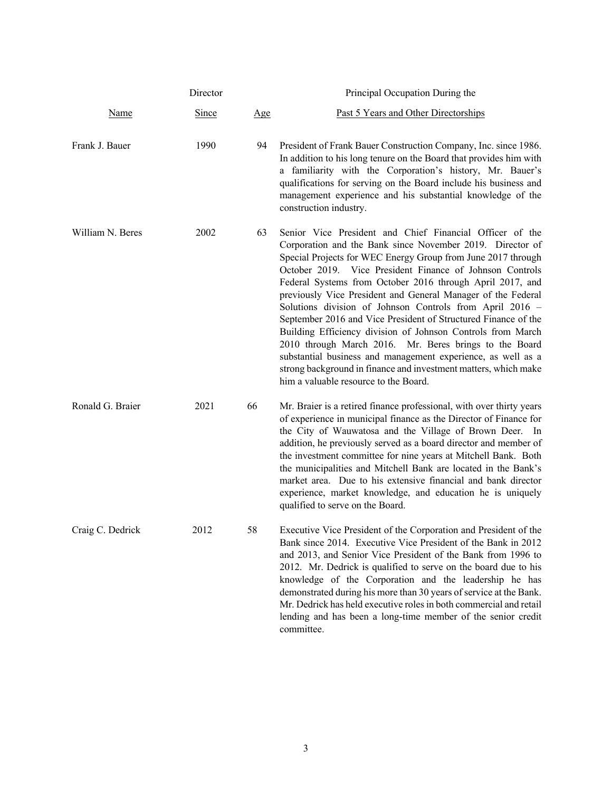|                  | Director     |     | Principal Occupation During the                                                                                                                                                                                                                                                                                                                                                                                                                                                                                                                                                                                                                                                                                                                                                                                   |
|------------------|--------------|-----|-------------------------------------------------------------------------------------------------------------------------------------------------------------------------------------------------------------------------------------------------------------------------------------------------------------------------------------------------------------------------------------------------------------------------------------------------------------------------------------------------------------------------------------------------------------------------------------------------------------------------------------------------------------------------------------------------------------------------------------------------------------------------------------------------------------------|
| <u>Name</u>      | <b>Since</b> | Age | Past 5 Years and Other Directorships                                                                                                                                                                                                                                                                                                                                                                                                                                                                                                                                                                                                                                                                                                                                                                              |
| Frank J. Bauer   | 1990         | 94  | President of Frank Bauer Construction Company, Inc. since 1986.<br>In addition to his long tenure on the Board that provides him with<br>a familiarity with the Corporation's history, Mr. Bauer's<br>qualifications for serving on the Board include his business and<br>management experience and his substantial knowledge of the<br>construction industry.                                                                                                                                                                                                                                                                                                                                                                                                                                                    |
| William N. Beres | 2002         | 63  | Senior Vice President and Chief Financial Officer of the<br>Corporation and the Bank since November 2019. Director of<br>Special Projects for WEC Energy Group from June 2017 through<br>October 2019. Vice President Finance of Johnson Controls<br>Federal Systems from October 2016 through April 2017, and<br>previously Vice President and General Manager of the Federal<br>Solutions division of Johnson Controls from April 2016 -<br>September 2016 and Vice President of Structured Finance of the<br>Building Efficiency division of Johnson Controls from March<br>2010 through March 2016. Mr. Beres brings to the Board<br>substantial business and management experience, as well as a<br>strong background in finance and investment matters, which make<br>him a valuable resource to the Board. |
| Ronald G. Braier | 2021         | 66  | Mr. Braier is a retired finance professional, with over thirty years<br>of experience in municipal finance as the Director of Finance for<br>the City of Wauwatosa and the Village of Brown Deer. In<br>addition, he previously served as a board director and member of<br>the investment committee for nine years at Mitchell Bank. Both<br>the municipalities and Mitchell Bank are located in the Bank's<br>market area. Due to his extensive financial and bank director<br>experience, market knowledge, and education he is uniquely<br>qualified to serve on the Board.                                                                                                                                                                                                                                   |
| Craig C. Dedrick | 2012         | 58  | Executive Vice President of the Corporation and President of the<br>Bank since 2014. Executive Vice President of the Bank in 2012<br>and 2013, and Senior Vice President of the Bank from 1996 to<br>2012. Mr. Dedrick is qualified to serve on the board due to his<br>knowledge of the Corporation and the leadership he has<br>demonstrated during his more than 30 years of service at the Bank.<br>Mr. Dedrick has held executive roles in both commercial and retail<br>lending and has been a long-time member of the senior credit<br>committee.                                                                                                                                                                                                                                                          |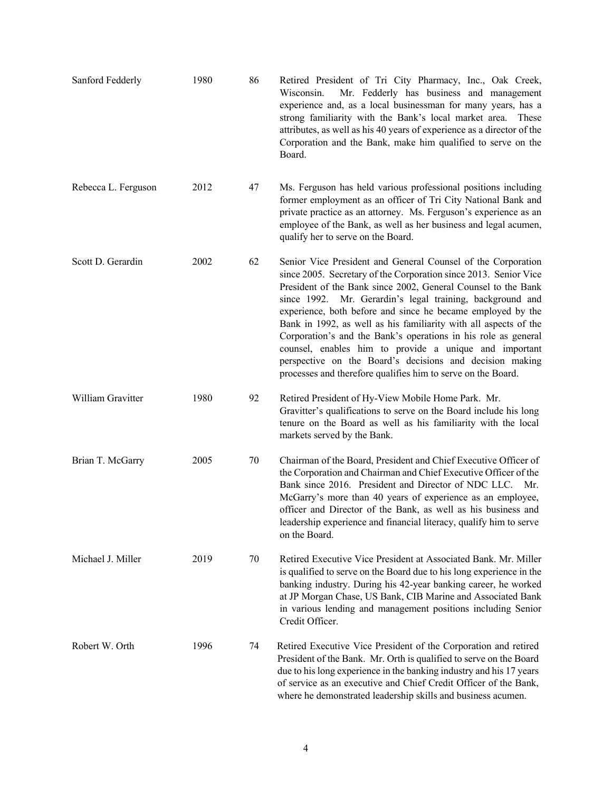| Sanford Fedderly    | 1980 | 86 | Retired President of Tri City Pharmacy, Inc., Oak Creek,<br>Wisconsin.<br>Mr. Fedderly has business and management<br>experience and, as a local businessman for many years, has a<br>strong familiarity with the Bank's local market area.<br>These<br>attributes, as well as his 40 years of experience as a director of the<br>Corporation and the Bank, make him qualified to serve on the<br>Board.                                                                                                                                                                                                                                                  |
|---------------------|------|----|-----------------------------------------------------------------------------------------------------------------------------------------------------------------------------------------------------------------------------------------------------------------------------------------------------------------------------------------------------------------------------------------------------------------------------------------------------------------------------------------------------------------------------------------------------------------------------------------------------------------------------------------------------------|
| Rebecca L. Ferguson | 2012 | 47 | Ms. Ferguson has held various professional positions including<br>former employment as an officer of Tri City National Bank and<br>private practice as an attorney. Ms. Ferguson's experience as an<br>employee of the Bank, as well as her business and legal acumen,<br>qualify her to serve on the Board.                                                                                                                                                                                                                                                                                                                                              |
| Scott D. Gerardin   | 2002 | 62 | Senior Vice President and General Counsel of the Corporation<br>since 2005. Secretary of the Corporation since 2013. Senior Vice<br>President of the Bank since 2002, General Counsel to the Bank<br>since 1992. Mr. Gerardin's legal training, background and<br>experience, both before and since he became employed by the<br>Bank in 1992, as well as his familiarity with all aspects of the<br>Corporation's and the Bank's operations in his role as general<br>counsel, enables him to provide a unique and important<br>perspective on the Board's decisions and decision making<br>processes and therefore qualifies him to serve on the Board. |
| William Gravitter   | 1980 | 92 | Retired President of Hy-View Mobile Home Park. Mr.<br>Gravitter's qualifications to serve on the Board include his long<br>tenure on the Board as well as his familiarity with the local<br>markets served by the Bank.                                                                                                                                                                                                                                                                                                                                                                                                                                   |
| Brian T. McGarry    | 2005 | 70 | Chairman of the Board, President and Chief Executive Officer of<br>the Corporation and Chairman and Chief Executive Officer of the<br>Bank since 2016. President and Director of NDC LLC. Mr.<br>McGarry's more than 40 years of experience as an employee,<br>officer and Director of the Bank, as well as his business and<br>leadership experience and financial literacy, qualify him to serve<br>on the Board.                                                                                                                                                                                                                                       |
| Michael J. Miller   | 2019 | 70 | Retired Executive Vice President at Associated Bank. Mr. Miller<br>is qualified to serve on the Board due to his long experience in the<br>banking industry. During his 42-year banking career, he worked<br>at JP Morgan Chase, US Bank, CIB Marine and Associated Bank<br>in various lending and management positions including Senior<br>Credit Officer.                                                                                                                                                                                                                                                                                               |
| Robert W. Orth      | 1996 | 74 | Retired Executive Vice President of the Corporation and retired<br>President of the Bank. Mr. Orth is qualified to serve on the Board<br>due to his long experience in the banking industry and his 17 years<br>of service as an executive and Chief Credit Officer of the Bank,<br>where he demonstrated leadership skills and business acumen.                                                                                                                                                                                                                                                                                                          |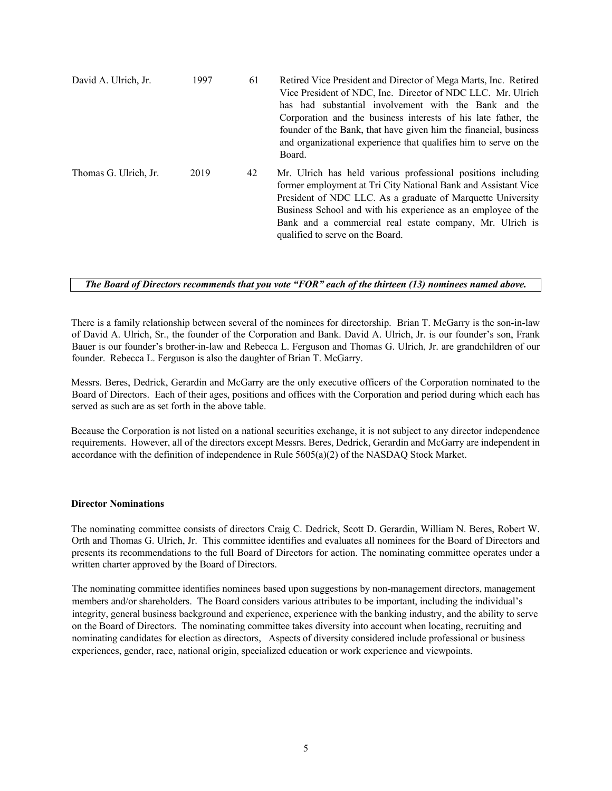| David A. Ulrich, Jr.  | 1997 | 61 | Retired Vice President and Director of Mega Marts, Inc. Retired<br>Vice President of NDC, Inc. Director of NDC LLC. Mr. Ulrich<br>has had substantial involvement with the Bank and the<br>Corporation and the business interests of his late father, the<br>founder of the Bank, that have given him the financial, business<br>and organizational experience that qualifies him to serve on the<br>Board. |
|-----------------------|------|----|-------------------------------------------------------------------------------------------------------------------------------------------------------------------------------------------------------------------------------------------------------------------------------------------------------------------------------------------------------------------------------------------------------------|
| Thomas G. Ulrich, Jr. | 2019 | 42 | Mr. Ulrich has held various professional positions including<br>former employment at Tri City National Bank and Assistant Vice<br>President of NDC LLC. As a graduate of Marquette University<br>Business School and with his experience as an employee of the<br>Bank and a commercial real estate company, Mr. Ulrich is<br>qualified to serve on the Board.                                              |

# *The Board of Directors recommends that you vote "FOR" each of the thirteen (13) nominees named above.*

There is a family relationship between several of the nominees for directorship. Brian T. McGarry is the son-in-law of David A. Ulrich, Sr., the founder of the Corporation and Bank. David A. Ulrich, Jr. is our founder's son, Frank Bauer is our founder's brother-in-law and Rebecca L. Ferguson and Thomas G. Ulrich, Jr. are grandchildren of our founder. Rebecca L. Ferguson is also the daughter of Brian T. McGarry.

Messrs. Beres, Dedrick, Gerardin and McGarry are the only executive officers of the Corporation nominated to the Board of Directors. Each of their ages, positions and offices with the Corporation and period during which each has served as such are as set forth in the above table.

Because the Corporation is not listed on a national securities exchange, it is not subject to any director independence requirements. However, all of the directors except Messrs. Beres, Dedrick, Gerardin and McGarry are independent in accordance with the definition of independence in Rule 5605(a)(2) of the NASDAQ Stock Market.

#### **Director Nominations**

The nominating committee consists of directors Craig C. Dedrick, Scott D. Gerardin, William N. Beres, Robert W. Orth and Thomas G. Ulrich, Jr. This committee identifies and evaluates all nominees for the Board of Directors and presents its recommendations to the full Board of Directors for action. The nominating committee operates under a written charter approved by the Board of Directors.

The nominating committee identifies nominees based upon suggestions by non-management directors, management members and/or shareholders. The Board considers various attributes to be important, including the individual's integrity, general business background and experience, experience with the banking industry, and the ability to serve on the Board of Directors. The nominating committee takes diversity into account when locating, recruiting and nominating candidates for election as directors, Aspects of diversity considered include professional or business experiences, gender, race, national origin, specialized education or work experience and viewpoints.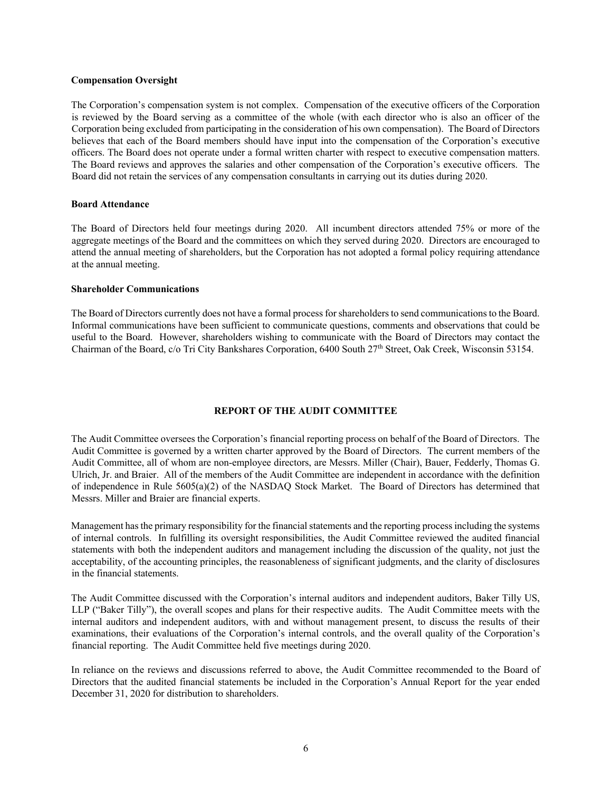#### **Compensation Oversight**

The Corporation's compensation system is not complex. Compensation of the executive officers of the Corporation is reviewed by the Board serving as a committee of the whole (with each director who is also an officer of the Corporation being excluded from participating in the consideration of his own compensation). The Board of Directors believes that each of the Board members should have input into the compensation of the Corporation's executive officers. The Board does not operate under a formal written charter with respect to executive compensation matters. The Board reviews and approves the salaries and other compensation of the Corporation's executive officers. The Board did not retain the services of any compensation consultants in carrying out its duties during 2020.

#### **Board Attendance**

The Board of Directors held four meetings during 2020. All incumbent directors attended 75% or more of the aggregate meetings of the Board and the committees on which they served during 2020. Directors are encouraged to attend the annual meeting of shareholders, but the Corporation has not adopted a formal policy requiring attendance at the annual meeting.

#### **Shareholder Communications**

The Board of Directors currently does not have a formal process for shareholders to send communications to the Board. Informal communications have been sufficient to communicate questions, comments and observations that could be useful to the Board. However, shareholders wishing to communicate with the Board of Directors may contact the Chairman of the Board, c/o Tri City Bankshares Corporation, 6400 South 27th Street, Oak Creek, Wisconsin 53154.

#### **REPORT OF THE AUDIT COMMITTEE**

The Audit Committee oversees the Corporation's financial reporting process on behalf of the Board of Directors. The Audit Committee is governed by a written charter approved by the Board of Directors. The current members of the Audit Committee, all of whom are non-employee directors, are Messrs. Miller (Chair), Bauer, Fedderly, Thomas G. Ulrich, Jr. and Braier. All of the members of the Audit Committee are independent in accordance with the definition of independence in Rule 5605(a)(2) of the NASDAQ Stock Market. The Board of Directors has determined that Messrs. Miller and Braier are financial experts.

Management has the primary responsibility for the financial statements and the reporting process including the systems of internal controls. In fulfilling its oversight responsibilities, the Audit Committee reviewed the audited financial statements with both the independent auditors and management including the discussion of the quality, not just the acceptability, of the accounting principles, the reasonableness of significant judgments, and the clarity of disclosures in the financial statements.

The Audit Committee discussed with the Corporation's internal auditors and independent auditors, Baker Tilly US, LLP ("Baker Tilly"), the overall scopes and plans for their respective audits. The Audit Committee meets with the internal auditors and independent auditors, with and without management present, to discuss the results of their examinations, their evaluations of the Corporation's internal controls, and the overall quality of the Corporation's financial reporting. The Audit Committee held five meetings during 2020.

In reliance on the reviews and discussions referred to above, the Audit Committee recommended to the Board of Directors that the audited financial statements be included in the Corporation's Annual Report for the year ended December 31, 2020 for distribution to shareholders.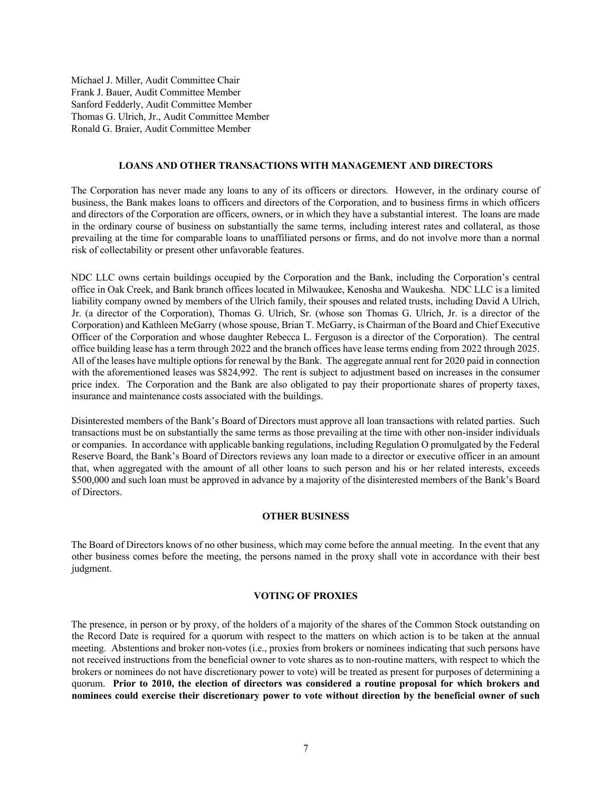Michael J. Miller, Audit Committee Chair Frank J. Bauer, Audit Committee Member Sanford Fedderly, Audit Committee Member Thomas G. Ulrich, Jr., Audit Committee Member Ronald G. Braier, Audit Committee Member

#### **LOANS AND OTHER TRANSACTIONS WITH MANAGEMENT AND DIRECTORS**

The Corporation has never made any loans to any of its officers or directors. However, in the ordinary course of business, the Bank makes loans to officers and directors of the Corporation, and to business firms in which officers and directors of the Corporation are officers, owners, or in which they have a substantial interest. The loans are made in the ordinary course of business on substantially the same terms, including interest rates and collateral, as those prevailing at the time for comparable loans to unaffiliated persons or firms, and do not involve more than a normal risk of collectability or present other unfavorable features.

NDC LLC owns certain buildings occupied by the Corporation and the Bank, including the Corporation's central office in Oak Creek, and Bank branch offices located in Milwaukee, Kenosha and Waukesha. NDC LLC is a limited liability company owned by members of the Ulrich family, their spouses and related trusts, including David A Ulrich, Jr. (a director of the Corporation), Thomas G. Ulrich, Sr. (whose son Thomas G. Ulrich, Jr. is a director of the Corporation) and Kathleen McGarry (whose spouse, Brian T. McGarry, is Chairman of the Board and Chief Executive Officer of the Corporation and whose daughter Rebecca L. Ferguson is a director of the Corporation). The central office building lease has a term through 2022 and the branch offices have lease terms ending from 2022 through 2025. All of the leases have multiple options for renewal by the Bank. The aggregate annual rent for 2020 paid in connection with the aforementioned leases was \$824,992. The rent is subject to adjustment based on increases in the consumer price index. The Corporation and the Bank are also obligated to pay their proportionate shares of property taxes, insurance and maintenance costs associated with the buildings.

Disinterested members of the Bank's Board of Directors must approve all loan transactions with related parties. Such transactions must be on substantially the same terms as those prevailing at the time with other non-insider individuals or companies. In accordance with applicable banking regulations, including Regulation O promulgated by the Federal Reserve Board, the Bank's Board of Directors reviews any loan made to a director or executive officer in an amount that, when aggregated with the amount of all other loans to such person and his or her related interests, exceeds \$500,000 and such loan must be approved in advance by a majority of the disinterested members of the Bank's Board of Directors.

#### **OTHER BUSINESS**

The Board of Directors knows of no other business, which may come before the annual meeting. In the event that any other business comes before the meeting, the persons named in the proxy shall vote in accordance with their best judgment.

#### **VOTING OF PROXIES**

The presence, in person or by proxy, of the holders of a majority of the shares of the Common Stock outstanding on the Record Date is required for a quorum with respect to the matters on which action is to be taken at the annual meeting. Abstentions and broker non-votes (i.e., proxies from brokers or nominees indicating that such persons have not received instructions from the beneficial owner to vote shares as to non-routine matters, with respect to which the brokers or nominees do not have discretionary power to vote) will be treated as present for purposes of determining a quorum. **Prior to 2010, the election of directors was considered a routine proposal for which brokers and nominees could exercise their discretionary power to vote without direction by the beneficial owner of such**